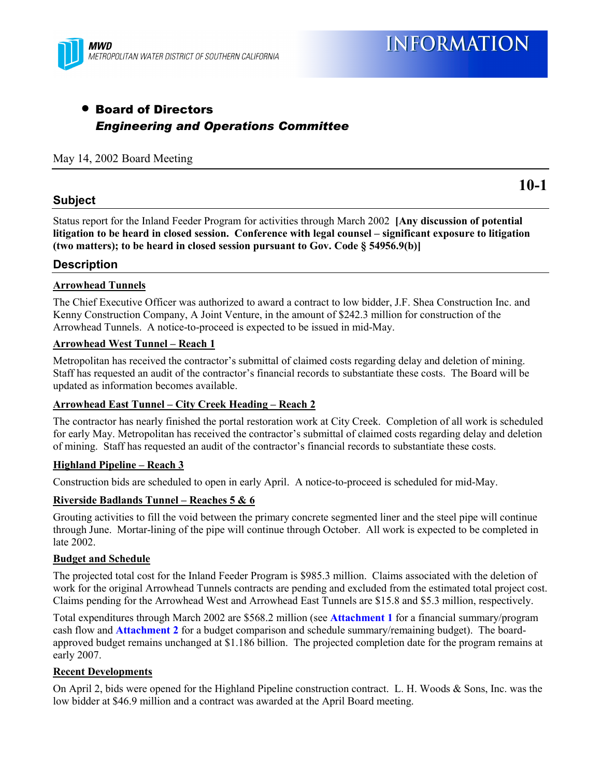

## • Board of Directors *Engineering and Operations Committee*

#### May 14, 2002 Board Meeting

#### **Subject**

**10-1**

Status report for the Inland Feeder Program for activities through March 2002 **[Any discussion of potential litigation to be heard in closed session. Conference with legal counsel – significant exposure to litigation (two matters); to be heard in closed session pursuant to Gov. Code § 54956.9(b)]**

#### **Description**

#### **Arrowhead Tunnels**

The Chief Executive Officer was authorized to award a contract to low bidder, J.F. Shea Construction Inc. and Kenny Construction Company, A Joint Venture, in the amount of \$242.3 million for construction of the Arrowhead Tunnels. A notice-to-proceed is expected to be issued in mid-May.

#### **Arrowhead West Tunnel – Reach 1**

Metropolitan has received the contractor's submittal of claimed costs regarding delay and deletion of mining. Staff has requested an audit of the contractor's financial records to substantiate these costs. The Board will be updated as information becomes available.

#### **Arrowhead East Tunnel – City Creek Heading – Reach 2**

The contractor has nearly finished the portal restoration work at City Creek. Completion of all work is scheduled for early May. Metropolitan has received the contractor's submittal of claimed costs regarding delay and deletion of mining. Staff has requested an audit of the contractor's financial records to substantiate these costs.

#### **Highland Pipeline – Reach 3**

Construction bids are scheduled to open in early April. A notice-to-proceed is scheduled for mid-May.

#### **Riverside Badlands Tunnel – Reaches 5 & 6**

Grouting activities to fill the void between the primary concrete segmented liner and the steel pipe will continue through June. Mortar-lining of the pipe will continue through October. All work is expected to be completed in late 2002.

#### **Budget and Schedule**

The projected total cost for the Inland Feeder Program is \$985.3 million. Claims associated with the deletion of work for the original Arrowhead Tunnels contracts are pending and excluded from the estimated total project cost. Claims pending for the Arrowhead West and Arrowhead East Tunnels are \$15.8 and \$5.3 million, respectively.

Total expenditures through March 2002 are \$568.2 million (see **Attachment 1** for a financial summary/program cash flow and **Attachment 2** for a budget comparison and schedule summary/remaining budget). The boardapproved budget remains unchanged at \$1.186 billion. The projected completion date for the program remains at early 2007.

#### **Recent Developments**

On April 2, bids were opened for the Highland Pipeline construction contract. L. H. Woods & Sons, Inc. was the low bidder at \$46.9 million and a contract was awarded at the April Board meeting.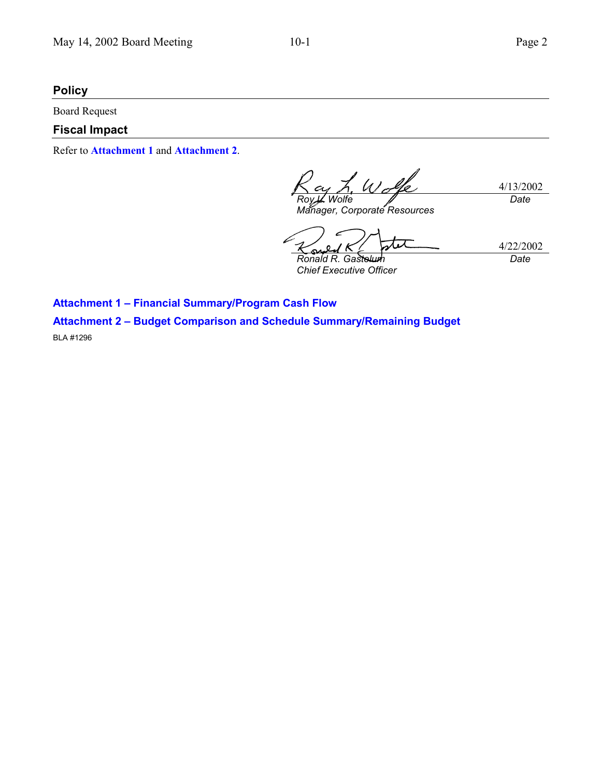### **Policy**

Board Request

### **Fiscal Impact**

Refer to **Attachment 1** and **Attachment 2**.

4/13/2002 *Roy L. Wolfe Manager, Corporate Resources Date*

7 4/22/2002 *Date Ronald R. Gastel* 

*Chief Executive Officer*

**Attachment 1 – Financial Summary/Program Cash Flow Attachment 2 – Budget Comparison and Schedule Summary/Remaining Budget**

BLA #1296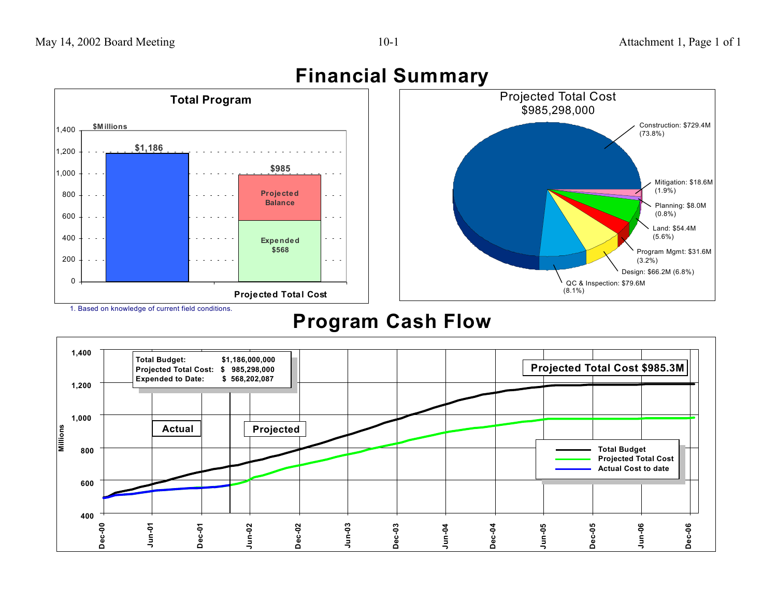

# **Program Cash Flow**